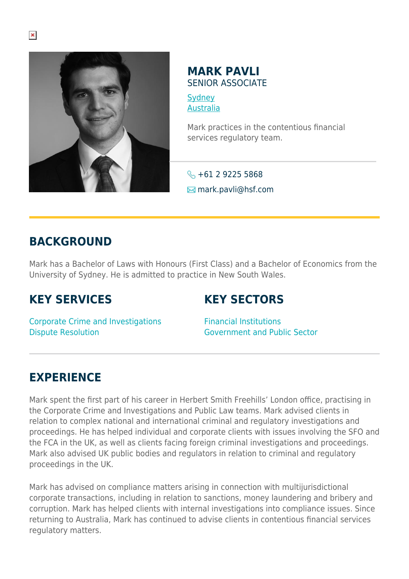

#### **MARK PAVLI** SENIOR ASSOCIATE

**[Sydney](https://www.herbertsmithfreehills.com/lang-zh-hans/where-we-work/sydney)** [Australia](https://www.herbertsmithfreehills.com/lang-zh-hans/where-we-work/australia)

Mark practices in the contentious financial services regulatory team.

 $\leftarrow +6129225568$  $\blacksquare$  mark.pavli@hsf.com

## **BACKGROUND**

Mark has a Bachelor of Laws with Honours (First Class) and a Bachelor of Economics from the University of Sydney. He is admitted to practice in New South Wales.

### **KEY SERVICES**

# **KEY SECTORS**

Corporate Crime and Investigations Dispute Resolution

Financial Institutions Government and Public Sector

### **EXPERIENCE**

Mark spent the first part of his career in Herbert Smith Freehills' London office, practising in the Corporate Crime and Investigations and Public Law teams. Mark advised clients in relation to complex national and international criminal and regulatory investigations and proceedings. He has helped individual and corporate clients with issues involving the SFO and the FCA in the UK, as well as clients facing foreign criminal investigations and proceedings. Mark also advised UK public bodies and regulators in relation to criminal and regulatory proceedings in the UK.

Mark has advised on compliance matters arising in connection with multijurisdictional corporate transactions, including in relation to sanctions, money laundering and bribery and corruption. Mark has helped clients with internal investigations into compliance issues. Since returning to Australia, Mark has continued to advise clients in contentious financial services regulatory matters.